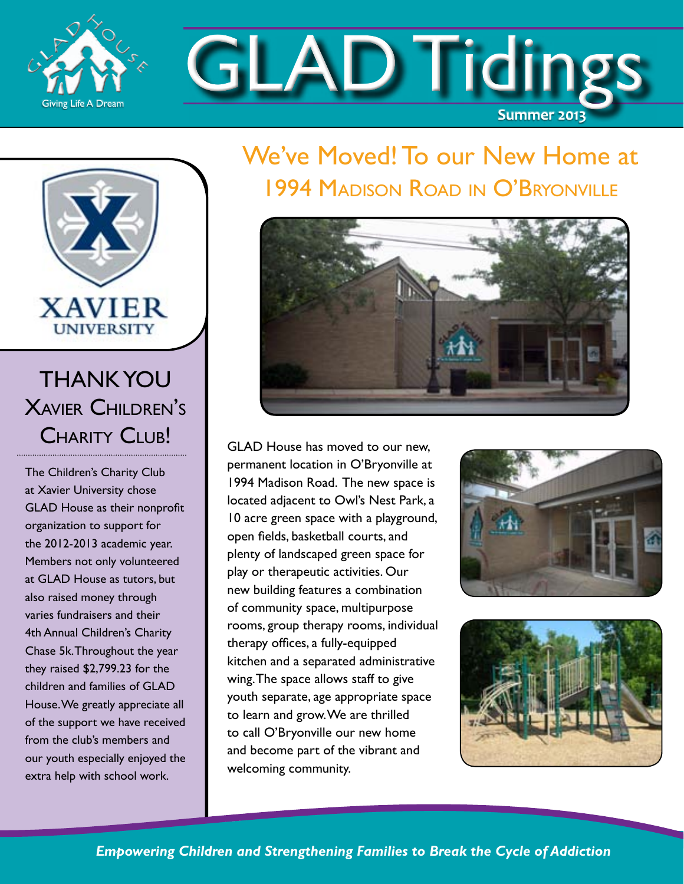

GLAD Tidings **Summer 2013**

### We've Moved! To our New Home at 1994 Madison Road in O'Bryonville



GLAD House has moved to our new, permanent location in O'Bryonville at 1994 Madison Road. The new space is located adjacent to Owl's Nest Park, a 10 acre green space with a playground, open fields, basketball courts, and plenty of landscaped green space for play or therapeutic activities. Our new building features a combination of community space, multipurpose rooms, group therapy rooms, individual therapy offices, a fully-equipped kitchen and a separated administrative wing. The space allows staff to give youth separate, age appropriate space to learn and grow. We are thrilled to call O'Bryonville our new home and become part of the vibrant and welcoming community.





*Empowering Children and Strengthening Families to Break the Cycle of Addiction*

#### THANK YOU XAVIER CHII DREN'S CHARITY CLUB!

**XAVIER UNIVERSITY** 

The Children's Charity Club at Xavier University chose GLAD House as their nonprofit organization to support for the 2012-2013 academic year. Members not only volunteered at GLAD House as tutors, but also raised money through varies fundraisers and their 4th Annual Children's Charity Chase 5k. Throughout the year they raised \$2,799.23 for the children and families of GLAD House. We greatly appreciate all of the support we have received from the club's members and our youth especially enjoyed the extra help with school work.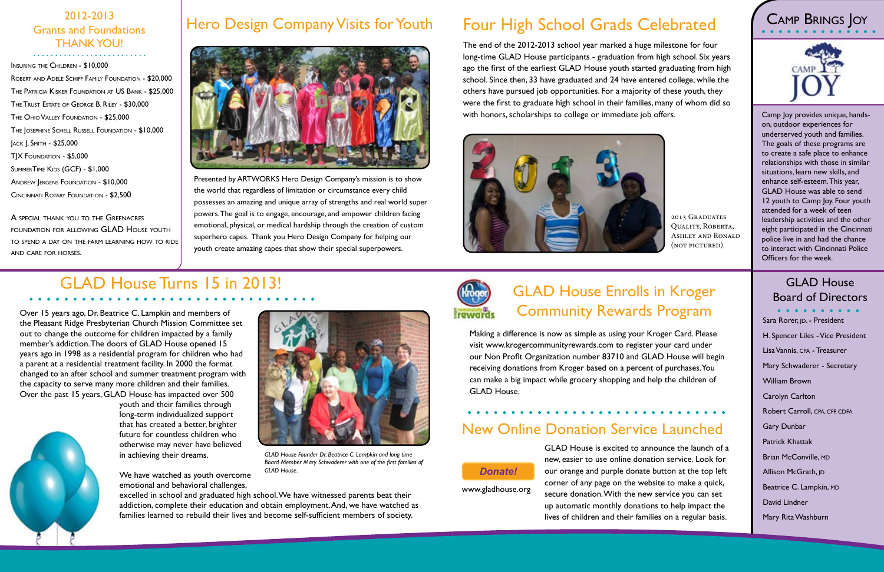GLAD House is excited to announce the launch of a new, easier to use online donation service. Look for our orange and purple donate button at the top left corner of any page on the website to make a quick, secure donation. With the new service you can set up automatic monthly donations to help impact the lives of children and their families on a regular basis.

www.gladhouse.org

Making a difference is now as simple as using your Kroger Card. Please visit www.krogercommunityrewards.com to register your card under our Non Profit Organization number 83710 and GLAD House will begin receiving donations from Kroger based on a percent of purchases. You can make a big impact while grocery shopping and help the children of GLAD House.

### GLAD House Enrolls in Kroger Community Rewards Program

Presented by ARTWORKS Hero Design Company's mission is to show the world that regardless of limitation or circumstance every child possesses an amazing and unique array of strengths and real world super powers. The goal is to engage, encourage, and empower children facing emotional, physical, or medical hardship through the creation of custom superhero capes. Thank you Hero Design Company for helping our youth create amazing capes that show their special superpowers.

# 2012-2013<br>
Sand Foundations Hero Design Company Visits for Youth Four High School Grads Celebrated (2011-2013

The end of the 2012-2013 school year marked a huge milestone for four long-time GLAD House participants - graduation from high school. Six years ago the first of the earliest GLAD House youth started graduating from high school. Since then, 33 have graduated and 24 have entered college, while the others have pursued job opportunities. For a majority of these youth, they were the first to graduate high school in their families, many of whom did so with honors, scholarships to college or immediate job offers.



## GLAD House Turns 15 in 2013!



### New Online Donation Service Launched

A SPECIAL THANK YOU TO THE GREENACRES foundation for allowing GLAD House youth to spend a day on the farm learning how to ride and care for horses.



Sara Rorer, JD. - President H. Spencer Liles - Vice President Lisa Vannis, CPA - Treasurer Mary Schwaderer - Secretary William Brown Carolyn Carlton Robert Carroll, CPA, CFP, CDFA Gary Dunbar Patrick Khattak Brian McConville, MD Allison McGrath, <sub>JD</sub> Beatrice C. Lampkin, MD David Lindner Mary Rita Washburn

Over 15 years ago, Dr. Beatrice C. Lampkin and members of the Pleasant Ridge Presbyterian Church Mission Committee set out to change the outcome for children impacted by a family member's addiction. The doors of GLAD House opened 15 years ago in 1998 as a residential program for children who had a parent at a residential treatment facility. In 2000 the format changed to an after school and summer treatment program with the capacity to serve many more children and their families. Over the past 15 years, GLAD House has impacted over 500

> youth and their families through long-term individualized support that has created a better, brighter future for countless children who otherwise may never have believed in achieving their dreams.

We have watched as youth overcome emotional and behavioral challenges,

excelled in school and graduated high school. We have witnessed parents beat their addiction, complete their education and obtain employment. And, we have watched as families learned to rebuild their lives and become self-sufficient members of society.



# Board of Directors

## Grants and Foundations THANK YOU!

Insuring the Children - \$10,000 Robert and Adele Schiff Family Foundation - \$20,000 The Patricia Kisker Foundation at US Bank - \$25,000 The Trust Estate of George B. Riley - \$30,000 The Ohio Valley Foundation - \$25,000 The Josephine Schell Russell Foundation - \$10,000 Jack J, Smith - \$25,000 TJX Foundation - \$5,000 SUMMERTIME KIDS (GCF) - \$1,000 Andrew Jergens Foundation - \$10,000 Cincinnati Rotary Foundation - \$2,500



*GLAD House Founder Dr. Beatrice C. Lampkin and long time Board Member Mary Schwaderer with one of the first families of GLAD House.* 

2013 Graduates Quality, Roberta, Ashley and Ronald (not pictured).



Camp Joy provides unique, handson, outdoor experiences for underserved youth and families. The goals of these programs are to create a safe place to enhance relationships with those in similar situations, learn new skills, and enhance self-esteem. This year, GLAD House was able to send 12 youth to Camp Joy. Four youth attended for a week of teen leadership activities and the other eight participated in the Cincinnati police live in and had the chance to interact with Cincinnati Police Officers for the week.